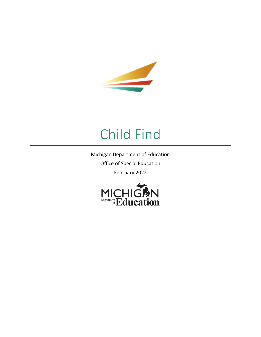

# Child Find

Michigan Department of Education Office of Special Education February 2022

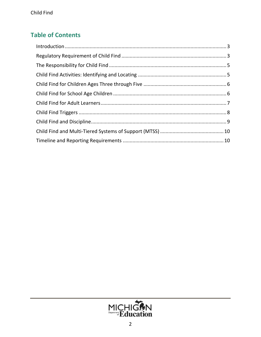# **Table of Contents**

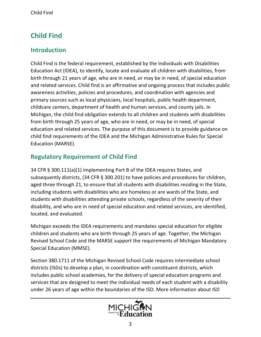# <span id="page-2-0"></span>**Child Find**

#### **Introduction**

Child Find is the federal requirement, established by the Individuals with Disabilities Education Act (IDEA), to identify, locate and evaluate all children with disabilities, from birth through 21 years of age, who are in need, or may be in need, of special education and related services. Child find is an affirmative and ongoing process that includes public awareness activities, policies and procedures, and coordination with agencies and primary sources such as local physicians, local hospitals, public health department, childcare centers, department of health and human services, and county jails. In Michigan, the child find obligation extends to all children and students with disabilities from birth through 25 years of age, who are in need, or may be in need, of special education and related services. The purpose of this document is to provide guidance on child find requirements of the IDEA and the Michigan Administrative Rules for Special Education (MARSE).

# <span id="page-2-1"></span>**Regulatory Requirement of Child Find**

34 CFR § 300.111(a)(1) implementing Part B of the IDEA requires States, and subsequently districts, (34 CFR § 300.201) to have policies and procedures for children, aged three through 21, to ensure that all students with disabilities residing in the State, including students with disabilities who are homeless or are wards of the State, and students with disabilities attending private schools, regardless of the severity of their disability, and who are in need of special education and related services, are identified, located, and evaluated.

Michigan exceeds the IDEA requirements and mandates special education for eligible children and students who are birth through 25 years of age. Together, the Michigan Revised School Code and the MARSE support the requirements of Michigan Mandatory Special Education (MMSE).

Section 380.1711 of the Michigan Revised School Code requires intermediate school districts (ISDs) to develop a plan, in coordination with constituent districts, which includes public school academies, for the delivery of special education programs and services that are designed to meet the individual needs of each student with a disability under 26 years of age within the boundaries of the ISD. More information about ISD

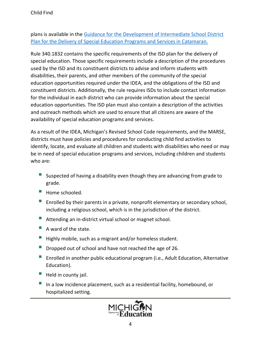plans is available in the [Guidance for the Development of Intermediate School District](https://www.michigan.gov/documents/mde/ISD_Plan_Guidance_710348_7.pdf)  [Plan for the Delivery of Special Education Programs and Services in Catamaran.](https://www.michigan.gov/documents/mde/ISD_Plan_Guidance_710348_7.pdf)

Rule 340.1832 contains the specific requirements of the ISD plan for the delivery of special education. Those specific requirements include a description of the procedures used by the ISD and its constituent districts to advise and inform students with disabilities, their parents, and other members of the community of the special education opportunities required under the IDEA, and the obligations of the ISD and constituent districts. Additionally, the rule requires ISDs to include contact information for the individual in each district who can provide information about the special education opportunities. The ISD plan must also contain a description of the activities and outreach methods which are used to ensure that all citizens are aware of the availability of special education programs and services.

As a result of the IDEA, Michigan's Revised School Code requirements, and the MARSE, districts must have policies and procedures for conducting child find activities to identify, locate, and evaluate all children and students with disabilities who need or may be in need of special education programs and services, including children and students who are:

- Suspected of having a disability even though they are advancing from grade to grade.
- $\blacksquare$  Home schooled.
- **Enrolled by their parents in a private, nonprofit elementary or secondary school,** including a religious school, which is in the jurisdiction of the district.
- Attending an in-district virtual school or magnet school.
- $\blacksquare$  A ward of the state.
- $\blacksquare$  Highly mobile, such as a migrant and/or homeless student.
- Dropped out of school and have not reached the age of 26.
- **Enrolled in another public educational program (i.e., Adult Education, Alternative** Education).
- $\blacksquare$  Held in county jail.
- In a low incidence placement, such as a residential facility, homebound, or hospitalized setting.

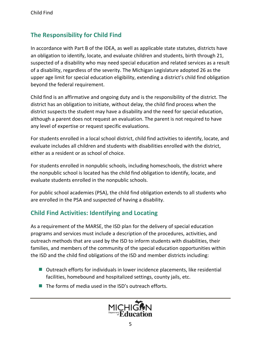### <span id="page-4-0"></span>**The Responsibility for Child Find**

In accordance with Part B of the IDEA, as well as applicable state statutes, districts have an obligation to identify, locate, and evaluate children and students, birth through 21, suspected of a disability who may need special education and related services as a result of a disability, regardless of the severity. The Michigan Legislature adopted 26 as the upper age limit for special education eligibility, extending a district's child find obligation beyond the federal requirement.

Child find is an affirmative and ongoing duty and is the responsibility of the district. The district has an obligation to initiate, without delay, the child find process when the district suspects the student may have a disability and the need for special education, although a parent does not request an evaluation. The parent is not required to have any level of expertise or request specific evaluations.

For students enrolled in a local school district, child find activities to identify, locate, and evaluate includes all children and students with disabilities enrolled with the district, either as a resident or as school of choice.

For students enrolled in nonpublic schools, including homeschools, the district where the nonpublic school is located has the child find obligation to identify, locate, and evaluate students enrolled in the nonpublic schools.

For public school academies (PSA), the child find obligation extends to all students who are enrolled in the PSA and suspected of having a disability.

# <span id="page-4-1"></span>**Child Find Activities: Identifying and Locating**

As a requirement of the MARSE, the ISD plan for the delivery of special education programs and services must include a description of the procedures, activities, and outreach methods that are used by the ISD to inform students with disabilities, their families, and members of the community of the special education opportunities within the ISD and the child find obligations of the ISD and member districts including:

- Outreach efforts for individuals in lower incidence placements, like residential facilities, homebound and hospitalized settings, county jails, etc.
- $\blacksquare$  The forms of media used in the ISD's outreach efforts.

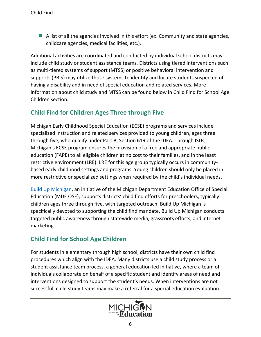$\blacksquare$  A list of all the agencies involved in this effort (ex. Community and state agencies, childcare agencies, medical facilities, etc.).

Additional activities are coordinated and conducted by individual school districts may include child study or student assistance teams. Districts using tiered interventions such as multi-tiered systems of support (MTSS) or positive behavioral intervention and supports (PBIS) may utilize those systems to identify and locate students suspected of having a disability and in need of special education and related services. More information about child study and MTSS can be found below in Child Find for School Age Children section.

#### <span id="page-5-0"></span>**Child Find for Children Ages Three through Five**

Michigan Early Childhood Special Education (ECSE) programs and services include specialized instruction and related services provided to young children, ages three through five, who qualify under Part B, Section 619 of the IDEA. Through ISDs, Michigan's ECSE program ensures the provision of a free and appropriate public education (FAPE) to all eligible children at no cost to their families, and in the least restrictive environment (LRE). LRE for this age group typically occurs in communitybased early childhood settings and programs. Young children should only be placed in more restrictive or specialized settings when required by the child's individual needs.

[Build Up](https://www.buildupmi.org/) Michigan, an initiative of the Michigan Department Education Office of Special Education (MDE OSE), supports districts' child find efforts for preschoolers, typically children ages three through five, with targeted outreach. Build Up Michigan is specifically devoted to supporting the child find mandate. Build Up Michigan conducts targeted public awareness through statewide media, grassroots efforts, and internet marketing.

# <span id="page-5-1"></span>**Child Find for School Age Children**

For students in elementary through high school, districts have their own child find procedures which align with the IDEA. Many districts use a child study process or a student assistance team process, a general education led initiative, where a team of individuals collaborate on behalf of a specific student and identify areas of need and interventions designed to support the student's needs. When interventions are not successful, child study teams may make a referral for a special education evaluation.

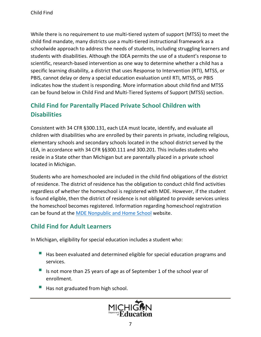While there is no requirement to use multi-tiered system of support (MTSS) to meet the child find mandate, many districts use a multi-tiered instructional framework as a schoolwide approach to address the needs of students, including struggling learners and students with disabilities. Although the IDEA permits the use of a student's response to scientific, research-based intervention as one way to determine whether a child has a specific learning disability, a district that uses Response to Intervention (RTI), MTSS, or PBIS, cannot delay or deny a special education evaluation until RTI, MTSS, or PBIS indicates how the student is responding. More information about child find and MTSS can be found below in Child Find and Multi-Tiered Systems of Support (MTSS) section.

# **Child Find for Parentally Placed Private School Children with Disabilities**

Consistent with 34 CFR §300.131, each LEA must locate, identify, and evaluate all children with disabilities who are enrolled by their parents in private, including religious, elementary schools and secondary schools located in the school district served by the LEA, in accordance with 34 CFR §§300.111 and 300.201. This includes students who reside in a State other than Michigan but are parentally placed in a private school located in Michigan.

Students who are homeschooled are included in the child find obligations of the district of residence. The district of residence has the obligation to conduct child find activities regardless of whether the homeschool is registered with MDE. However, if the student is found eligible, then the district of residence is not obligated to provide services unless the homeschool becomes registered. Information regarding homeschool registration can be found at the [MDE Nonpublic and Home School](https://www.michigan.gov/mde/0,4615,7-140-81351_81352_35175---,00.html) website.

#### <span id="page-6-0"></span>**Child Find for Adult Learners**

In Michigan, eligibility for special education includes a student who:

- Has been evaluated and determined eligible for special education programs and services.
- Is not more than 25 years of age as of September 1 of the school year of enrollment.
- Has not graduated from high school.

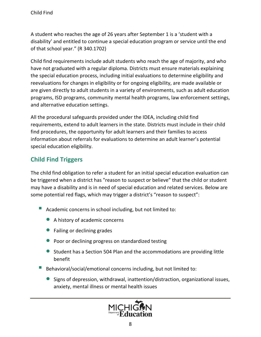A student who reaches the age of 26 years after September 1 is a 'student with a disability' and entitled to continue a special education program or service until the end of that school year." (R 340.1702)

Child find requirements include adult students who reach the age of majority, and who have not graduated with a regular diploma. Districts must ensure materials explaining the special education process, including initial evaluations to determine eligibility and reevaluations for changes in eligibility or for ongoing eligibility, are made available or are given directly to adult students in a variety of environments, such as adult education programs, ISD programs, community mental health programs, law enforcement settings, and alternative education settings.

All the procedural safeguards provided under the IDEA, including child find requirements, extend to adult learners in the state. Districts must include in their child find procedures, the opportunity for adult learners and their families to access information about referrals for evaluations to determine an adult learner's potential special education eligibility.

# <span id="page-7-0"></span>**Child Find Triggers**

The child find obligation to refer a student for an initial special education evaluation can be triggered when a district has "reason to suspect or believe" that the child or student may have a disability and is in need of special education and related services. Below are some potential red flags, which may trigger a district's "reason to suspect":

- Academic concerns in school including, but not limited to:
	- A history of academic concerns
	- Failing or declining grades
	- Poor or declining progress on standardized testing
	- Student has a Section 504 Plan and the accommodations are providing little benefit
- Behavioral/social/emotional concerns including, but not limited to:
	- Signs of depression, withdrawal, inattention/distraction, organizational issues, anxiety, mental illness or mental health issues

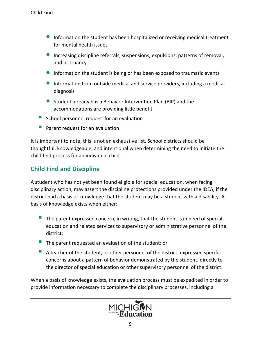- Information the student has been hospitalized or receiving medical treatment for mental health issues
- Increasing discipline referrals, suspensions, expulsions, patterns of removal, and or truancy
- Information the student is being or has been exposed to traumatic events
- Information from outside medical and service providers, including a medical diagnosis
- Student already has a Behavior Intervention Plan (BIP) and the accommodations are providing little benefit
- $\blacksquare$  School personnel request for an evaluation
- Parent request for an evaluation

It is important to note, this is not an exhaustive list. School districts should be thoughtful, knowledgeable, and intentional when determining the need to initiate the child find process for an individual child.

#### <span id="page-8-0"></span>**Child Find and Discipline**

A student who has not yet been found eligible for special education, when facing disciplinary action, may assert the discipline protections provided under the IDEA, if the district had a basis of knowledge that the student may be a student with a disability. A basis of knowledge exists when either:

- $\blacksquare$  The parent expressed concern, in writing, that the student is in need of special education and related services to supervisory or administrative personnel of the district;
- $\blacksquare$  The parent requested an evaluation of the student; or
- A teacher of the student, or other personnel of the district, expressed specific concerns about a pattern of behavior demonstrated by the student, directly to the director of special education or other supervisory personnel of the district.

When a basis of knowledge exists, the evaluation process must be expedited in order to provide information necessary to complete the disciplinary processes, including a

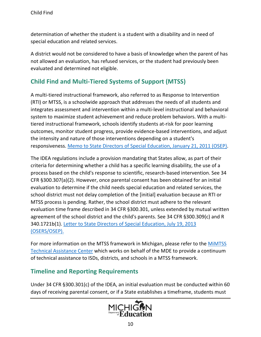determination of whether the student is a student with a disability and in need of special education and related services.

A district would not be considered to have a basis of knowledge when the parent of has not allowed an evaluation, has refused services, or the student had previously been evaluated and determined not eligible.

#### <span id="page-9-0"></span>**Child Find and Multi-Tiered Systems of Support (MTSS)**

A multi-tiered instructional framework, also referred to as Response to Intervention (RTI) or MTSS, is a schoolwide approach that addresses the needs of all students and integrates assessment and intervention within a multi-level instructional and behavioral system to maximize student achievement and reduce problem behaviors. With a multitiered instructional framework, schools identify students at-risk for poor learning outcomes, monitor student progress, provide evidence-based interventions, and adjust the intensity and nature of those interventions depending on a student's responsiveness. [Memo to State Directors of Special Education,](https://sites.ed.gov/idea/idea-files/osep-memo-11-07-response-to-intervention-rti-memo/) January 21, 2011 (OSEP).

The IDEA regulations include a provision mandating that States allow, as part of their criteria for determining whether a child has a specific learning disability, the use of a process based on the child's response to scientific, research-based intervention. See 34 CFR §300.307(a)(2). However, once parental consent has been obtained for an initial evaluation to determine if the child needs special education and related services, the school district must not delay completion of the [initial] evaluation because an RTI or MTSS process is pending. Rather, the school district must adhere to the relevant evaluation time frame described in 34 CFR §300.301, unless extended by mutual written agreement of the school district and the child's parents. See 34 CFR §300.309(c) and R 340.1721b(1). [Letter to State Directors of Special Education, July 19, 2013](https://sites.ed.gov/idea/idea-files/osep-dear-colleague-letter-on-education-for-highly-mobile-children/)  [\(OSERS/OSEP\).](https://sites.ed.gov/idea/idea-files/osep-dear-colleague-letter-on-education-for-highly-mobile-children/)

For more information on the MTSS framework in Michigan, please refer to the [MiMTSS](https://mimtsstac.org/)  [Technical Assistance Center](https://mimtsstac.org/) which works on behalf of the MDE to provide a continuum of technical assistance to ISDs, districts, and schools in a MTSS framework.

#### <span id="page-9-1"></span>**Timeline and Reporting Requirements**

Under 34 CFR §300.301(c) of the IDEA, an initial evaluation must be conducted within 60 days of receiving parental consent, or if a State establishes a timeframe, students must

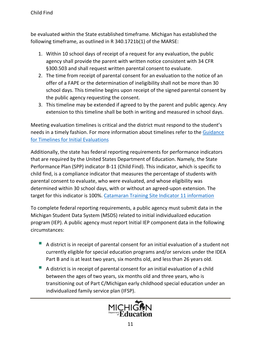be evaluated within the State established timeframe. Michigan has established the following timeframe, as outlined in R 340.1721b(1) of the MARSE:

- 1. Within 10 school days of receipt of a request for any evaluation, the public agency shall provide the parent with written notice consistent with 34 CFR §300.503 and shall request written parental consent to evaluate.
- 2. The time from receipt of parental consent for an evaluation to the notice of an offer of a FAPE or the determination of ineligibility shall not be more than 30 school days. This timeline begins upon receipt of the signed parental consent by the public agency requesting the consent.
- 3. This timeline may be extended if agreed to by the parent and public agency. Any extension to this timeline shall be both in writing and measured in school days.

Meeting evaluation timelines is critical and the district must respond to the student's needs in a timely fashion. For more information about timelines refer to the [Guidance](https://www.michigan.gov/documents/mde/InitialsGuidance_565249_7.pdf)  [for Timelines for Initial Evaluations](https://www.michigan.gov/documents/mde/InitialsGuidance_565249_7.pdf)

Additionally, the state has federal reporting requirements for performance indicators that are required by the United States Department of Education. Namely, the State Performance Plan (SPP) indicator B-11 (Child Find). This indicator, which is specific to child find, is a compliance indicator that measures the percentage of students with parental consent to evaluate, who were evaluated, and whose eligibility was determined within 30 school days, with or without an agreed-upon extension. The target for this indicator is 100%. [Catamaran Training Site Indicator 11 information](https://training.catamaran.partners/b-11-child-find/)

To complete federal reporting requirements, a public agency must submit data in the Michigan Student Data System (MSDS) related to initial individualized education program (IEP). A public agency must report Initial IEP component data in the following circumstances:

- A district is in receipt of parental consent for an initial evaluation of a student not currently eligible for special education programs and/or services under the IDEA Part B and is at least two years, six months old, and less than 26 years old.
- A district is in receipt of parental consent for an initial evaluation of a child between the ages of two years, six months old and three years, who is transitioning out of Part C/Michigan early childhood special education under an individualized family service plan (IFSP).